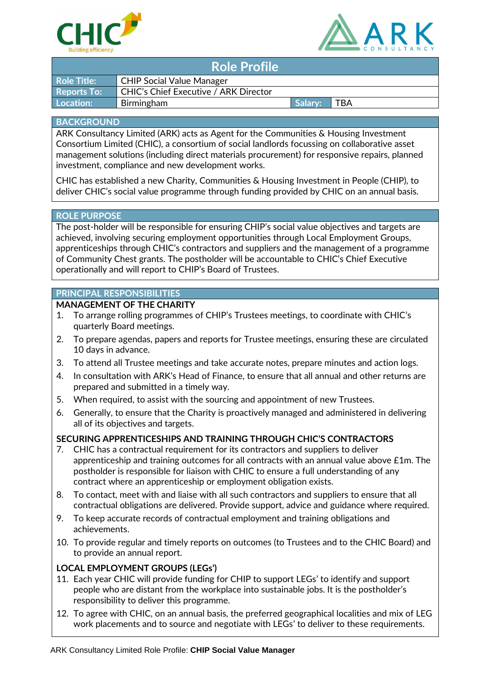



| <b>Role Profile</b> |                                              |         |     |
|---------------------|----------------------------------------------|---------|-----|
| <b>Role Title:</b>  | <b>CHIP Social Value Manager</b>             |         |     |
| <b>Reports To:</b>  | <b>CHIC's Chief Executive / ARK Director</b> |         |     |
| Location:           | Birmingham                                   | Salary: | TBA |

### **BACKGROUND**

ARK Consultancy Limited (ARK) acts as Agent for the Communities & Housing Investment Consortium Limited (CHIC), a consortium of social landlords focussing on collaborative asset management solutions (including direct materials procurement) for responsive repairs, planned investment, compliance and new development works.

CHIC has established a new Charity, Communities & Housing Investment in People (CHIP), to deliver CHIC's social value programme through funding provided by CHIC on an annual basis.

#### **ROLE PURPOSE**

The post-holder will be responsible for ensuring CHIP's social value objectives and targets are achieved, involving securing employment opportunities through Local Employment Groups, apprenticeships through CHIC's contractors and suppliers and the management of a programme of Community Chest grants. The postholder will be accountable to CHIC's Chief Executive operationally and will report to CHIP's Board of Trustees.

## **PRINCIPAL RESPONSIBILITIES**

## **MANAGEMENT OF THE CHARITY**

- 1. To arrange rolling programmes of CHIP's Trustees meetings, to coordinate with CHIC's quarterly Board meetings.
- 2. To prepare agendas, papers and reports for Trustee meetings, ensuring these are circulated 10 days in advance.
- 3. To attend all Trustee meetings and take accurate notes, prepare minutes and action logs.
- 4. In consultation with ARK's Head of Finance, to ensure that all annual and other returns are prepared and submitted in a timely way.
- 5. When required, to assist with the sourcing and appointment of new Trustees.
- 6. Generally, to ensure that the Charity is proactively managed and administered in delivering all of its objectives and targets.

## **SECURING APPRENTICESHIPS AND TRAINING THROUGH CHIC'S CONTRACTORS**

- 7. CHIC has a contractual requirement for its contractors and suppliers to deliver apprenticeship and training outcomes for all contracts with an annual value above £1m. The postholder is responsible for liaison with CHIC to ensure a full understanding of any contract where an apprenticeship or employment obligation exists.
- 8. To contact, meet with and liaise with all such contractors and suppliers to ensure that all contractual obligations are delivered. Provide support, advice and guidance where required.
- 9. To keep accurate records of contractual employment and training obligations and achievements.
- 10. To provide regular and timely reports on outcomes (to Trustees and to the CHIC Board) and to provide an annual report.

## **LOCAL EMPLOYMENT GROUPS (LEGs')**

- 11. Each year CHIC will provide funding for CHIP to support LEGs' to identify and support people who are distant from the workplace into sustainable jobs. It is the postholder's responsibility to deliver this programme.
- 12. To agree with CHIC, on an annual basis, the preferred geographical localities and mix of LEG work placements and to source and negotiate with LEGs' to deliver to these requirements.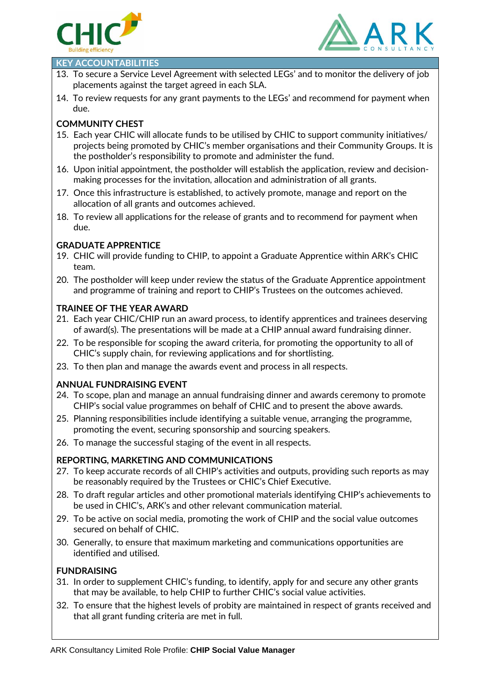



#### **KEY ACCOUNTABILITIES**

- 13. To secure a Service Level Agreement with selected LEGs' and to monitor the delivery of job placements against the target agreed in each SLA.
- 14. To review requests for any grant payments to the LEGs' and recommend for payment when due.

## **COMMUNITY CHEST**

- 15. Each year CHIC will allocate funds to be utilised by CHIC to support community initiatives/ projects being promoted by CHIC's member organisations and their Community Groups. It is the postholder's responsibility to promote and administer the fund.
- 16. Upon initial appointment, the postholder will establish the application, review and decisionmaking processes for the invitation, allocation and administration of all grants.
- 17. Once this infrastructure is established, to actively promote, manage and report on the allocation of all grants and outcomes achieved.
- 18. To review all applications for the release of grants and to recommend for payment when due.

## **GRADUATE APPRENTICE**

- 19. CHIC will provide funding to CHIP, to appoint a Graduate Apprentice within ARK's CHIC team.
- 20. The postholder will keep under review the status of the Graduate Apprentice appointment and programme of training and report to CHIP's Trustees on the outcomes achieved.

## **TRAINEE OF THE YEAR AWARD**

- 21. Each year CHIC/CHIP run an award process, to identify apprentices and trainees deserving of award(s). The presentations will be made at a CHIP annual award fundraising dinner.
- 22. To be responsible for scoping the award criteria, for promoting the opportunity to all of CHIC's supply chain, for reviewing applications and for shortlisting.
- 23. To then plan and manage the awards event and process in all respects.

## **ANNUAL FUNDRAISING EVENT**

- 24. To scope, plan and manage an annual fundraising dinner and awards ceremony to promote CHIP's social value programmes on behalf of CHIC and to present the above awards.
- 25. Planning responsibilities include identifying a suitable venue, arranging the programme, promoting the event, securing sponsorship and sourcing speakers.
- 26. To manage the successful staging of the event in all respects.

## **REPORTING, MARKETING AND COMMUNICATIONS**

- 27. To keep accurate records of all CHIP's activities and outputs, providing such reports as may be reasonably required by the Trustees or CHIC's Chief Executive.
- 28. To draft regular articles and other promotional materials identifying CHIP's achievements to be used in CHIC's, ARK's and other relevant communication material.
- 29. To be active on social media, promoting the work of CHIP and the social value outcomes secured on behalf of CHIC.
- 30. Generally, to ensure that maximum marketing and communications opportunities are identified and utilised.

## **FUNDRAISING**

- 31. In order to supplement CHIC's funding, to identify, apply for and secure any other grants that may be available, to help CHIP to further CHIC's social value activities.
- 32. To ensure that the highest levels of probity are maintained in respect of grants received and that all grant funding criteria are met in full.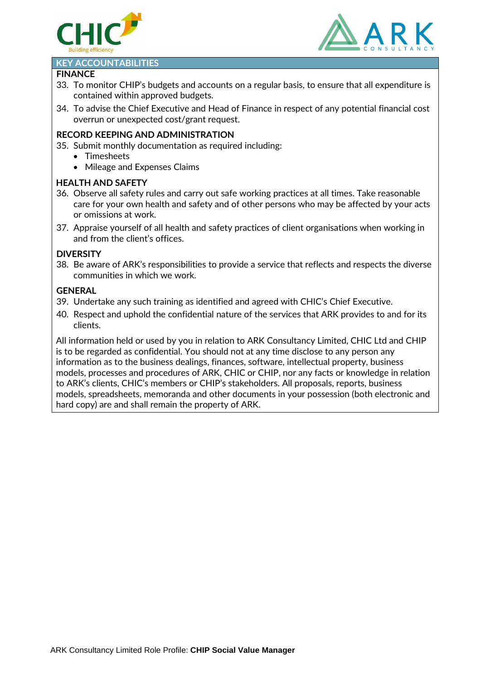



#### **KEY ACCOUNTABILITIES**

#### **FINANCE**

- 33. To monitor CHIP's budgets and accounts on a regular basis, to ensure that all expenditure is contained within approved budgets.
- 34. To advise the Chief Executive and Head of Finance in respect of any potential financial cost overrun or unexpected cost/grant request.

## **RECORD KEEPING AND ADMINISTRATION**

- 35. Submit monthly documentation as required including:
	- Timesheets
	- Mileage and Expenses Claims

## **HEALTH AND SAFETY**

- 36. Observe all safety rules and carry out safe working practices at all times. Take reasonable care for your own health and safety and of other persons who may be affected by your acts or omissions at work.
- 37. Appraise yourself of all health and safety practices of client organisations when working in and from the client's offices.

## **DIVERSITY**

38. Be aware of ARK's responsibilities to provide a service that reflects and respects the diverse communities in which we work.

## **GENERAL**

- 39. Undertake any such training as identified and agreed with CHIC's Chief Executive.
- 40. Respect and uphold the confidential nature of the services that ARK provides to and for its clients.

All information held or used by you in relation to ARK Consultancy Limited, CHIC Ltd and CHIP is to be regarded as confidential. You should not at any time disclose to any person any information as to the business dealings, finances, software, intellectual property, business models, processes and procedures of ARK, CHIC or CHIP, nor any facts or knowledge in relation to ARK's clients, CHIC's members or CHIP's stakeholders. All proposals, reports, business models, spreadsheets, memoranda and other documents in your possession (both electronic and hard copy) are and shall remain the property of ARK.